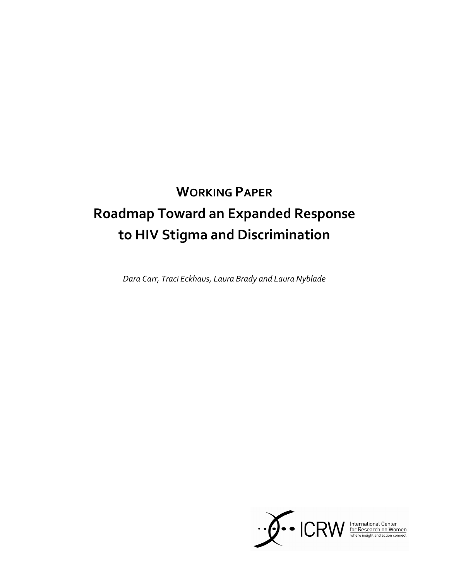# WORKING PAPER Roadmap Toward an Expanded Response to HIV Stigma and Discrimination

Dara Carr, Traci Eckhaus, Laura Brady and Laura Nyblade

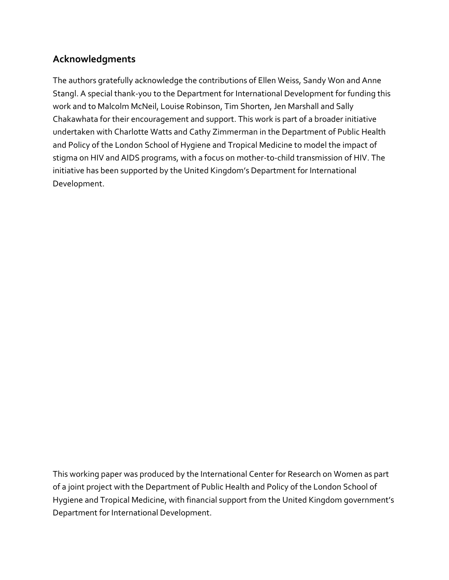# Acknowledgments

The authors gratefully acknowledge the contributions of Ellen Weiss, Sandy Won and Anne Stangl. A special thank-you to the Department for International Development for funding this work and to Malcolm McNeil, Louise Robinson, Tim Shorten, Jen Marshall and Sally Chakawhata for their encouragement and support. This work is part of a broader initiative undertaken with Charlotte Watts and Cathy Zimmerman in the Department of Public Health and Policy of the London School of Hygiene and Tropical Medicine to model the impact of stigma on HIV and AIDS programs, with a focus on mother-to-child transmission of HIV. The initiative has been supported by the United Kingdom's Department for International Development.

This working paper was produced by the International Center for Research on Women as part of a joint project with the Department of Public Health and Policy of the London School of Hygiene and Tropical Medicine, with financial support from the United Kingdom government's Department for International Development.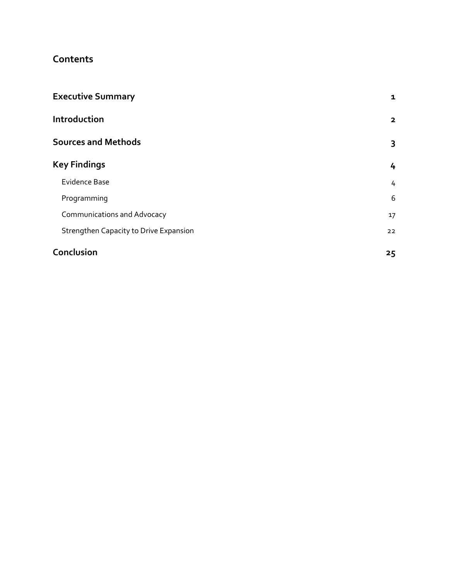# Contents

| <b>Executive Summary</b>               | 1            |
|----------------------------------------|--------------|
| Introduction                           | $\mathbf{2}$ |
| <b>Sources and Methods</b>             | 3            |
| <b>Key Findings</b>                    | 4            |
| <b>Evidence Base</b>                   | 4            |
| Programming                            | 6            |
| <b>Communications and Advocacy</b>     | 17           |
| Strengthen Capacity to Drive Expansion | 22           |
| Conclusion                             | 25           |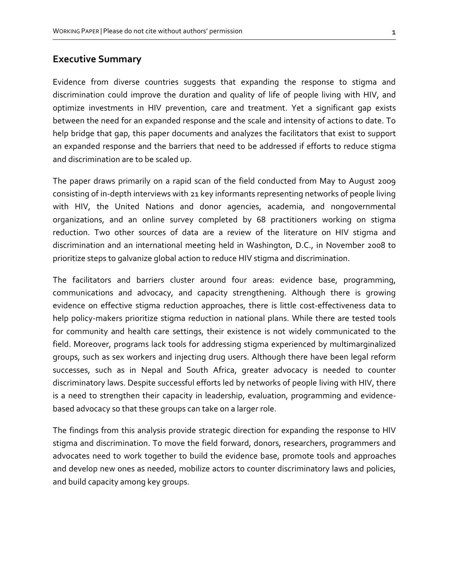## Executive Summary

Evidence from diverse countries suggests that expanding the response to stigma and discrimination could improve the duration and quality of life of people living with HIV, and optimize investments in HIV prevention, care and treatment. Yet a significant gap exists between the need for an expanded response and the scale and intensity of actions to date. To help bridge that gap, this paper documents and analyzes the facilitators that exist to support an expanded response and the barriers that need to be addressed if efforts to reduce stigma and discrimination are to be scaled up.

The paper draws primarily on a rapid scan of the field conducted from May to August 2009 consisting of in-depth interviews with 21 key informants representing networks of people living with HIV, the United Nations and donor agencies, academia, and nongovernmental organizations, and an online survey completed by 68 practitioners working on stigma reduction. Two other sources of data are a review of the literature on HIV stigma and discrimination and an international meeting held in Washington, D.C., in November 2008 to prioritize steps to galvanize global action to reduce HIV stigma and discrimination.

The facilitators and barriers cluster around four areas: evidence base, programming, communications and advocacy, and capacity strengthening. Although there is growing evidence on effective stigma reduction approaches, there is little cost-effectiveness data to help policy-makers prioritize stigma reduction in national plans. While there are tested tools for community and health care settings, their existence is not widely communicated to the field. Moreover, programs lack tools for addressing stigma experienced by multimarginalized groups, such as sex workers and injecting drug users. Although there have been legal reform successes, such as in Nepal and South Africa, greater advocacy is needed to counter discriminatory laws. Despite successful efforts led by networks of people living with HIV, there is a need to strengthen their capacity in leadership, evaluation, programming and evidencebased advocacy so that these groups can take on a larger role.

The findings from this analysis provide strategic direction for expanding the response to HIV stigma and discrimination. To move the field forward, donors, researchers, programmers and advocates need to work together to build the evidence base, promote tools and approaches and develop new ones as needed, mobilize actors to counter discriminatory laws and policies, and build capacity among key groups.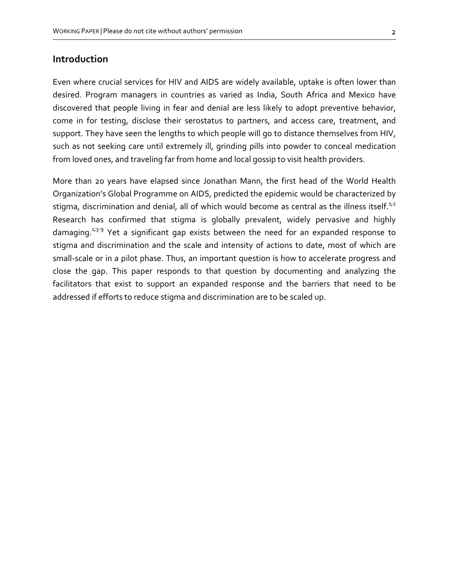## Introduction

Even where crucial services for HIV and AIDS are widely available, uptake is often lower than desired. Program managers in countries as varied as India, South Africa and Mexico have discovered that people living in fear and denial are less likely to adopt preventive behavior, come in for testing, disclose their serostatus to partners, and access care, treatment, and support. They have seen the lengths to which people will go to distance themselves from HIV, such as not seeking care until extremely ill, grinding pills into powder to conceal medication from loved ones, and traveling far from home and local gossip to visit health providers.

More than 20 years have elapsed since Jonathan Mann, the first head of the World Health Organization's Global Programme on AIDS, predicted the epidemic would be characterized by stigma, discrimination and denial, all of which would become as central as the illness itself.<sup>1;2</sup> Research has confirmed that stigma is globally prevalent, widely pervasive and highly damaging.<sup> $1/3-9$ </sup> Yet a significant gap exists between the need for an expanded response to stigma and discrimination and the scale and intensity of actions to date, most of which are small-scale or in a pilot phase. Thus, an important question is how to accelerate progress and close the gap. This paper responds to that question by documenting and analyzing the facilitators that exist to support an expanded response and the barriers that need to be addressed if efforts to reduce stigma and discrimination are to be scaled up.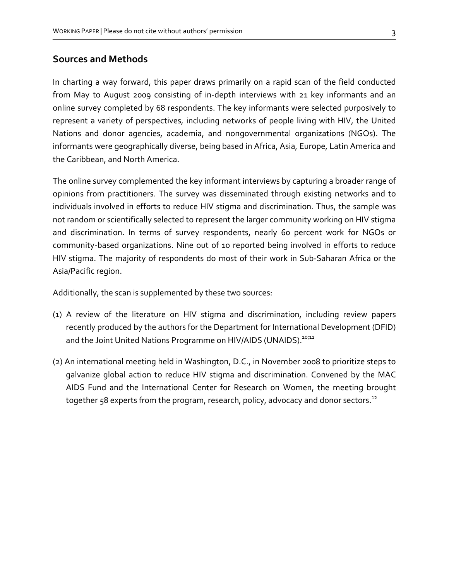## Sources and Methods

In charting a way forward, this paper draws primarily on a rapid scan of the field conducted from May to August 2009 consisting of in-depth interviews with 21 key informants and an online survey completed by 68 respondents. The key informants were selected purposively to represent a variety of perspectives, including networks of people living with HIV, the United Nations and donor agencies, academia, and nongovernmental organizations (NGOs). The informants were geographically diverse, being based in Africa, Asia, Europe, Latin America and the Caribbean, and North America.

The online survey complemented the key informant interviews by capturing a broader range of opinions from practitioners. The survey was disseminated through existing networks and to individuals involved in efforts to reduce HIV stigma and discrimination. Thus, the sample was not random or scientifically selected to represent the larger community working on HIV stigma and discrimination. In terms of survey respondents, nearly 60 percent work for NGOs or community-based organizations. Nine out of 10 reported being involved in efforts to reduce HIV stigma. The majority of respondents do most of their work in Sub-Saharan Africa or the Asia/Pacific region.

Additionally, the scan is supplemented by these two sources:

- (1) A review of the literature on HIV stigma and discrimination, including review papers recently produced by the authors for the Department for International Development (DFID) and the Joint United Nations Programme on HIV/AIDS (UNAIDS).<sup>10;11</sup>
- (2) An international meeting held in Washington, D.C., in November 2008 to prioritize steps to galvanize global action to reduce HIV stigma and discrimination. Convened by the MAC AIDS Fund and the International Center for Research on Women, the meeting brought together 58 experts from the program, research, policy, advocacy and donor sectors.<sup>12</sup>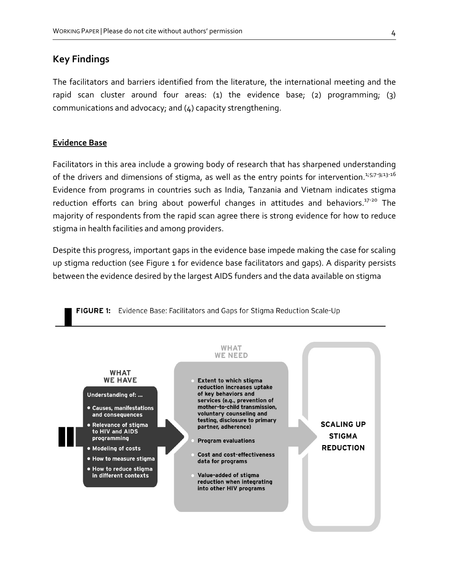# Key Findings

The facilitators and barriers identified from the literature, the international meeting and the rapid scan cluster around four areas: (1) the evidence base; (2) programming; (3) communications and advocacy; and (4) capacity strengthening.

#### Evidence Base

Facilitators in this area include a growing body of research that has sharpened understanding of the drivers and dimensions of stigma, as well as the entry points for intervention.<sup>1;5;7-9;13-16</sup> Evidence from programs in countries such as India, Tanzania and Vietnam indicates stigma reduction efforts can bring about powerful changes in attitudes and behaviors.<sup>17-20</sup> The majority of respondents from the rapid scan agree there is strong evidence for how to reduce stigma in health facilities and among providers.

Despite this progress, important gaps in the evidence base impede making the case for scaling up stigma reduction (see Figure 1 for evidence base facilitators and gaps). A disparity persists between the evidence desired by the largest AIDS funders and the data available on stigma

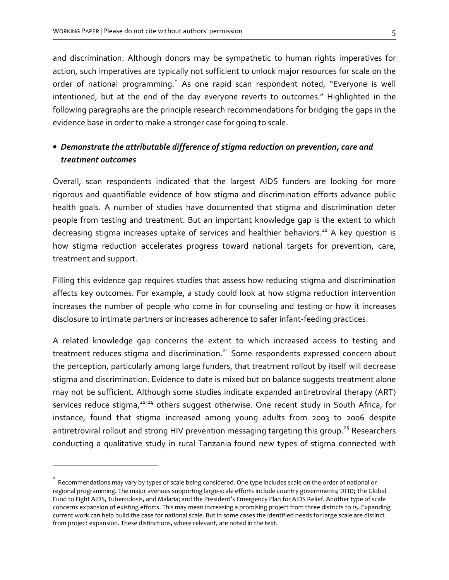and discrimination. Although donors may be sympathetic to human rights imperatives for action, such imperatives are typically not sufficient to unlock major resources for scale on the order of national programming.<sup>\*</sup> As one rapid scan respondent noted, "Everyone is well intentioned, but at the end of the day everyone reverts to outcomes." Highlighted in the following paragraphs are the principle research recommendations for bridging the gaps in the evidence base in order to make a stronger case for going to scale.

# • Demonstrate the attributable difference of stigma reduction on prevention, care and treatment outcomes

Overall, scan respondents indicated that the largest AIDS funders are looking for more rigorous and quantifiable evidence of how stigma and discrimination efforts advance public health goals. A number of studies have documented that stigma and discrimination deter people from testing and treatment. But an important knowledge gap is the extent to which decreasing stigma increases uptake of services and healthier behaviors.<sup>21</sup> A key question is how stigma reduction accelerates progress toward national targets for prevention, care, treatment and support.

Filling this evidence gap requires studies that assess how reducing stigma and discrimination affects key outcomes. For example, a study could look at how stigma reduction intervention increases the number of people who come in for counseling and testing or how it increases disclosure to intimate partners or increases adherence to safer infant-feeding practices.

A related knowledge gap concerns the extent to which increased access to testing and treatment reduces stigma and discrimination.<sup>21</sup> Some respondents expressed concern about the perception, particularly among large funders, that treatment rollout by itself will decrease stigma and discrimination. Evidence to date is mixed but on balance suggests treatment alone may not be sufficient. Although some studies indicate expanded antiretroviral therapy (ART) services reduce stigma, $21-24$  others suggest otherwise. One recent study in South Africa, for instance, found that stigma increased among young adults from 2003 to 2006 despite antiretroviral rollout and strong HIV prevention messaging targeting this group.<sup>25</sup> Researchers conducting a qualitative study in rural Tanzania found new types of stigma connected with

 $\overline{a}$ 

<sup>\*</sup> Recommendations may vary by types of scale being considered. One type includes scale on the order of national or regional programming. The major avenues supporting large-scale efforts include country governments; DFID; The Global Fund to Fight AIDS, Tuberculosis, and Malaria; and the President's Emergency Plan for AIDS Relief. Another type of scale concerns expansion of existing efforts. This may mean increasing a promising project from three districts to 15. Expanding current work can help build the case for national scale. But in some cases the identified needs for large scale are distinct from project expansion. These distinctions, where relevant, are noted in the text.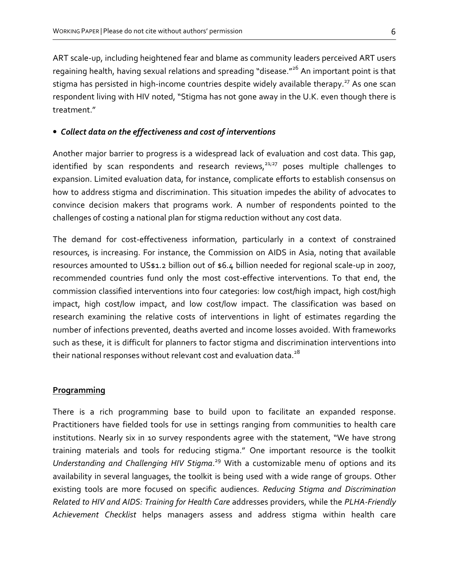ART scale-up, including heightened fear and blame as community leaders perceived ART users regaining health, having sexual relations and spreading "disease."<sup>26</sup> An important point is that stigma has persisted in high-income countries despite widely available therapy.<sup>27</sup> As one scan respondent living with HIV noted, "Stigma has not gone away in the U.K. even though there is treatment."

#### • Collect data on the effectiveness and cost of interventions

Another major barrier to progress is a widespread lack of evaluation and cost data. This gap, identified by scan respondents and research reviews,<sup>21;27</sup> poses multiple challenges to expansion. Limited evaluation data, for instance, complicate efforts to establish consensus on how to address stigma and discrimination. This situation impedes the ability of advocates to convince decision makers that programs work. A number of respondents pointed to the challenges of costing a national plan for stigma reduction without any cost data.

The demand for cost-effectiveness information, particularly in a context of constrained resources, is increasing. For instance, the Commission on AIDS in Asia, noting that available resources amounted to US\$1.2 billion out of \$6.4 billion needed for regional scale-up in 2007, recommended countries fund only the most cost-effective interventions. To that end, the commission classified interventions into four categories: low cost/high impact, high cost/high impact, high cost/low impact, and low cost/low impact. The classification was based on research examining the relative costs of interventions in light of estimates regarding the number of infections prevented, deaths averted and income losses avoided. With frameworks such as these, it is difficult for planners to factor stigma and discrimination interventions into their national responses without relevant cost and evaluation data. $^{28}$ 

#### **Programming**

There is a rich programming base to build upon to facilitate an expanded response. Practitioners have fielded tools for use in settings ranging from communities to health care institutions. Nearly six in 10 survey respondents agree with the statement, "We have strong training materials and tools for reducing stigma." One important resource is the toolkit Understanding and Challenging HIV Stigma.<sup>29</sup> With a customizable menu of options and its availability in several languages, the toolkit is being used with a wide range of groups. Other existing tools are more focused on specific audiences. Reducing Stigma and Discrimination Related to HIV and AIDS: Training for Health Care addresses providers, while the PLHA-Friendly Achievement Checklist helps managers assess and address stigma within health care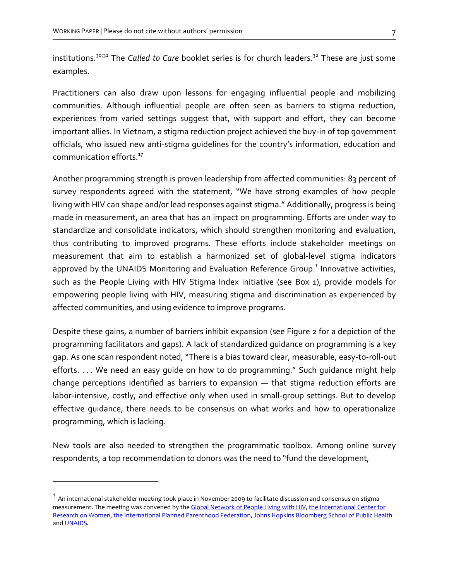institutions.<sup>30;31</sup> The Called to Care booklet series is for church leaders.<sup>32</sup> These are just some examples.

Practitioners can also draw upon lessons for engaging influential people and mobilizing communities. Although influential people are often seen as barriers to stigma reduction, experiences from varied settings suggest that, with support and effort, they can become important allies. In Vietnam, a stigma reduction project achieved the buy-in of top government officials, who issued new anti-stigma guidelines for the country's information, education and communication efforts.<sup>17</sup>

Another programming strength is proven leadership from affected communities: 83 percent of survey respondents agreed with the statement, "We have strong examples of how people living with HIV can shape and/or lead responses against stigma." Additionally, progress is being made in measurement, an area that has an impact on programming. Efforts are under way to standardize and consolidate indicators, which should strengthen monitoring and evaluation, thus contributing to improved programs. These efforts include stakeholder meetings on measurement that aim to establish a harmonized set of global-level stigma indicators approved by the UNAIDS Monitoring and Evaluation Reference Group. $^\dagger$  Innovative activities, such as the People Living with HIV Stigma Index initiative (see Box 1), provide models for empowering people living with HIV, measuring stigma and discrimination as experienced by affected communities, and using evidence to improve programs.

Despite these gains, a number of barriers inhibit expansion (see Figure 2 for a depiction of the programming facilitators and gaps). A lack of standardized guidance on programming is a key gap. As one scan respondent noted, "There is a bias toward clear, measurable, easy-to-roll-out efforts. . . . We need an easy guide on how to do programming." Such guidance might help change perceptions identified as barriers to expansion — that stigma reduction efforts are labor-intensive, costly, and effective only when used in small-group settings. But to develop effective guidance, there needs to be consensus on what works and how to operationalize programming, which is lacking.

New tools are also needed to strengthen the programmatic toolbox. Among online survey respondents, a top recommendation to donors was the need to "fund the development,

l

 $^\dagger$  An international stakeholder meeting took place in November 2009 to facilitate discussion and consensus on stigma measurement. The meeting was convened by the Global Network of People Living with HIV, the International Center for Research on Women, the International Planned Parenthood Federation, Johns Hopkins Bloomberg School of Public Health and UNAIDS.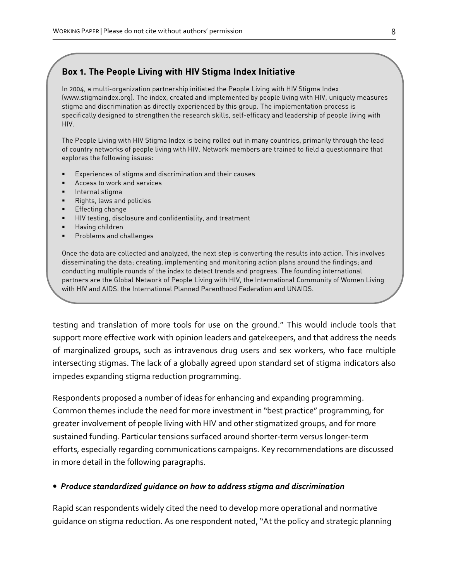## Box 1. The People Living with HIV Stigma Index Initiative

In 2004, a multi-organization partnership initiated the People Living with HIV Stigma Index (www.stigmaindex.org). The index, created and implemented by people living with HIV, uniquely measures stigma and discrimination as directly experienced by this group. The implementation process is specifically designed to strengthen the research skills, self-efficacy and leadership of people living with HIV.

The People Living with HIV Stigma Index is being rolled out in many countries, primarily through the lead of country networks of people living with HIV. Network members are trained to field a questionnaire that explores the following issues:

- Experiences of stigma and discrimination and their causes
- Access to work and services
- Internal stigma
- **Rights, laws and policies**
- **Effecting change**
- **HIV testing, disclosure and confidentiality, and treatment**
- **Having children**
- **Problems and challenges**

Once the data are collected and analyzed, the next step is converting the results into action. This involves disseminating the data; creating, implementing and monitoring action plans around the findings; and conducting multiple rounds of the index to detect trends and progress. The founding international partners are the Global Network of People Living with HIV, the International Community of Women Living with HIV and AIDS, the International Planned Parenthood Federation and UNAIDS.

testing and translation of more tools for use on the ground." This would include tools that support more effective work with opinion leaders and gatekeepers, and that address the needs of marginalized groups, such as intravenous drug users and sex workers, who face multiple intersecting stigmas. The lack of a globally agreed upon standard set of stigma indicators also impedes expanding stigma reduction programming.

Respondents proposed a number of ideas for enhancing and expanding programming. Common themes include the need for more investment in "best practice" programming, for greater involvement of people living with HIV and other stigmatized groups, and for more sustained funding. Particular tensions surfaced around shorter-term versus longer-term efforts, especially regarding communications campaigns. Key recommendations are discussed in more detail in the following paragraphs.

#### • Produce standardized guidance on how to address stigma and discrimination

Rapid scan respondents widely cited the need to develop more operational and normative guidance on stigma reduction. As one respondent noted, "At the policy and strategic planning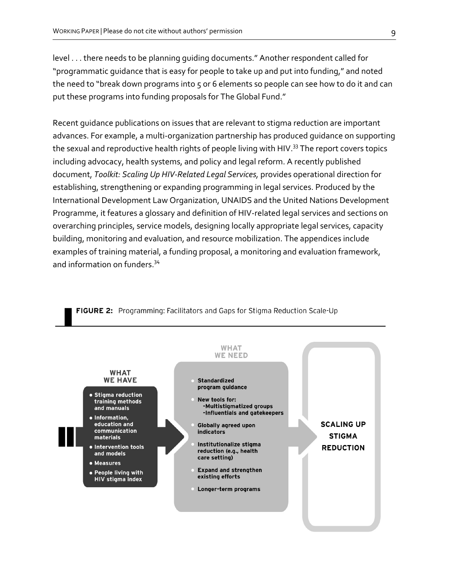level . . . there needs to be planning guiding documents." Another respondent called for "programmatic guidance that is easy for people to take up and put into funding," and noted the need to "break down programs into 5 or 6 elements so people can see how to do it and can put these programs into funding proposals for The Global Fund."

Recent guidance publications on issues that are relevant to stigma reduction are important advances. For example, a multi-organization partnership has produced guidance on supporting the sexual and reproductive health rights of people living with HIV.<sup>33</sup> The report covers topics including advocacy, health systems, and policy and legal reform. A recently published document, Toolkit: Scaling Up HIV-Related Legal Services, provides operational direction for establishing, strengthening or expanding programming in legal services. Produced by the International Development Law Organization, UNAIDS and the United Nations Development Programme, it features a glossary and definition of HIV-related legal services and sections on overarching principles, service models, designing locally appropriate legal services, capacity building, monitoring and evaluation, and resource mobilization. The appendices include examples of training material, a funding proposal, a monitoring and evaluation framework, and information on funders.<sup>34</sup>



#### FIGURE 2: Programming: Facilitators and Gaps for Stigma Reduction Scale-Up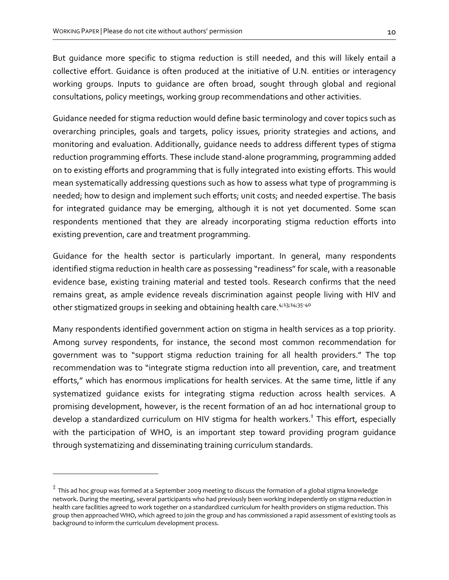But guidance more specific to stigma reduction is still needed, and this will likely entail a collective effort. Guidance is often produced at the initiative of U.N. entities or interagency working groups. Inputs to guidance are often broad, sought through global and regional consultations, policy meetings, working group recommendations and other activities.

Guidance needed for stigma reduction would define basic terminology and cover topics such as overarching principles, goals and targets, policy issues, priority strategies and actions, and monitoring and evaluation. Additionally, guidance needs to address different types of stigma reduction programming efforts. These include stand-alone programming, programming added on to existing efforts and programming that is fully integrated into existing efforts. This would mean systematically addressing questions such as how to assess what type of programming is needed; how to design and implement such efforts; unit costs; and needed expertise. The basis for integrated guidance may be emerging, although it is not yet documented. Some scan respondents mentioned that they are already incorporating stigma reduction efforts into existing prevention, care and treatment programming.

Guidance for the health sector is particularly important. In general, many respondents identified stigma reduction in health care as possessing "readiness" for scale, with a reasonable evidence base, existing training material and tested tools. Research confirms that the need remains great, as ample evidence reveals discrimination against people living with HIV and other stigmatized groups in seeking and obtaining health care. 4;13;14;35-40

Many respondents identified government action on stigma in health services as a top priority. Among survey respondents, for instance, the second most common recommendation for government was to "support stigma reduction training for all health providers." The top recommendation was to "integrate stigma reduction into all prevention, care, and treatment efforts," which has enormous implications for health services. At the same time, little if any systematized guidance exists for integrating stigma reduction across health services. A promising development, however, is the recent formation of an ad hoc international group to develop a standardized curriculum on HIV stigma for health workers.<sup>‡</sup> This effort, especially with the participation of WHO, is an important step toward providing program quidance through systematizing and disseminating training curriculum standards.

 $\overline{a}$ 

<sup>‡</sup> This ad hoc group was formed at a September 2009 meeting to discuss the formation of a global stigma knowledge network. During the meeting, several participants who had previously been working independently on stigma reduction in health care facilities agreed to work together on a standardized curriculum for health providers on stigma reduction. This group then approached WHO, which agreed to join the group and has commissioned a rapid assessment of existing tools as background to inform the curriculum development process.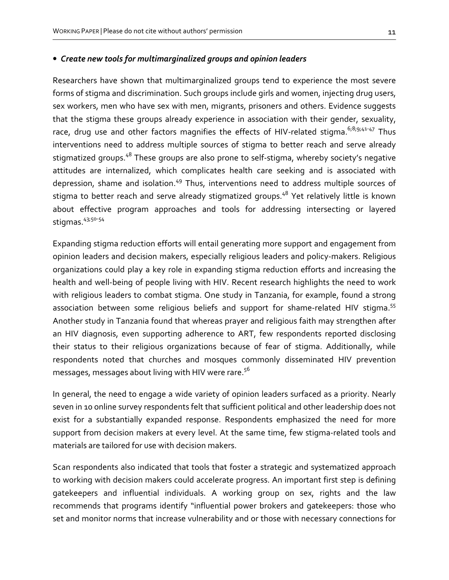#### • Create new tools for multimarginalized groups and opinion leaders

Researchers have shown that multimarginalized groups tend to experience the most severe forms of stigma and discrimination. Such groups include girls and women, injecting drug users, sex workers, men who have sex with men, migrants, prisoners and others. Evidence suggests that the stigma these groups already experience in association with their gender, sexuality, race, drug use and other factors magnifies the effects of HIV-related stigma.  $6,8,9,41-47$  Thus interventions need to address multiple sources of stigma to better reach and serve already stigmatized groups.<sup>48</sup> These groups are also prone to self-stigma, whereby society's negative attitudes are internalized, which complicates health care seeking and is associated with depression, shame and isolation.<sup>49</sup> Thus, interventions need to address multiple sources of stigma to better reach and serve already stigmatized groups.<sup>48</sup> Yet relatively little is known about effective program approaches and tools for addressing intersecting or layered stigmas. <sup>43;50-54</sup>

Expanding stigma reduction efforts will entail generating more support and engagement from opinion leaders and decision makers, especially religious leaders and policy-makers. Religious organizations could play a key role in expanding stigma reduction efforts and increasing the health and well-being of people living with HIV. Recent research highlights the need to work with religious leaders to combat stigma. One study in Tanzania, for example, found a strong association between some religious beliefs and support for shame-related HIV stigma.<sup>55</sup> Another study in Tanzania found that whereas prayer and religious faith may strengthen after an HIV diagnosis, even supporting adherence to ART, few respondents reported disclosing their status to their religious organizations because of fear of stigma. Additionally, while respondents noted that churches and mosques commonly disseminated HIV prevention messages, messages about living with HIV were rare. $^{56}$ 

In general, the need to engage a wide variety of opinion leaders surfaced as a priority. Nearly seven in 10 online survey respondents felt that sufficient political and other leadership does not exist for a substantially expanded response. Respondents emphasized the need for more support from decision makers at every level. At the same time, few stigma-related tools and materials are tailored for use with decision makers.

Scan respondents also indicated that tools that foster a strategic and systematized approach to working with decision makers could accelerate progress. An important first step is defining gatekeepers and influential individuals. A working group on sex, rights and the law recommends that programs identify "influential power brokers and gatekeepers: those who set and monitor norms that increase vulnerability and or those with necessary connections for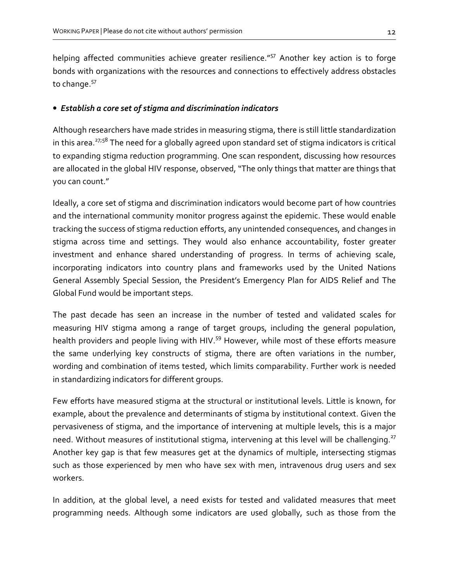helping affected communities achieve greater resilience."<sup>57</sup> Another key action is to forge bonds with organizations with the resources and connections to effectively address obstacles to change.<sup>57</sup>

#### • Establish a core set of stigma and discrimination indicators

Although researchers have made strides in measuring stigma, there is still little standardization in this area.<sup>27;58</sup> The need for a globally agreed upon standard set of stigma indicators is critical to expanding stigma reduction programming. One scan respondent, discussing how resources are allocated in the global HIV response, observed, "The only things that matter are things that you can count."

Ideally, a core set of stigma and discrimination indicators would become part of how countries and the international community monitor progress against the epidemic. These would enable tracking the success of stigma reduction efforts, any unintended consequences, and changes in stigma across time and settings. They would also enhance accountability, foster greater investment and enhance shared understanding of progress. In terms of achieving scale, incorporating indicators into country plans and frameworks used by the United Nations General Assembly Special Session, the President's Emergency Plan for AIDS Relief and The Global Fund would be important steps.

The past decade has seen an increase in the number of tested and validated scales for measuring HIV stigma among a range of target groups, including the general population, health providers and people living with HIV.<sup>59</sup> However, while most of these efforts measure the same underlying key constructs of stigma, there are often variations in the number, wording and combination of items tested, which limits comparability. Further work is needed in standardizing indicators for different groups.

Few efforts have measured stigma at the structural or institutional levels. Little is known, for example, about the prevalence and determinants of stigma by institutional context. Given the pervasiveness of stigma, and the importance of intervening at multiple levels, this is a major need. Without measures of institutional stigma, intervening at this level will be challenging.<sup>27</sup> Another key gap is that few measures get at the dynamics of multiple, intersecting stigmas such as those experienced by men who have sex with men, intravenous drug users and sex workers.

In addition, at the global level, a need exists for tested and validated measures that meet programming needs. Although some indicators are used globally, such as those from the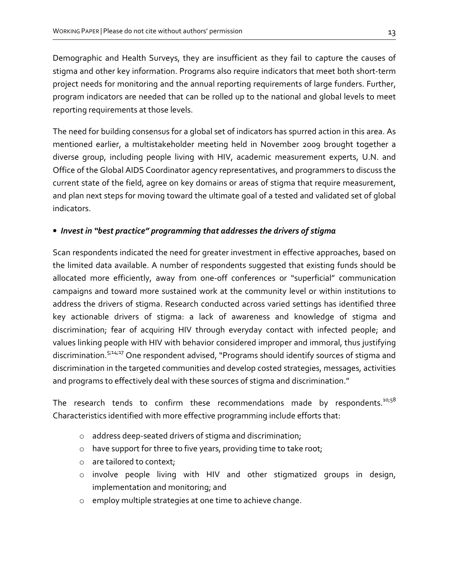Demographic and Health Surveys, they are insufficient as they fail to capture the causes of stigma and other key information. Programs also require indicators that meet both short-term project needs for monitoring and the annual reporting requirements of large funders. Further, program indicators are needed that can be rolled up to the national and global levels to meet reporting requirements at those levels.

The need for building consensus for a global set of indicators has spurred action in this area. As mentioned earlier, a multistakeholder meeting held in November 2009 brought together a diverse group, including people living with HIV, academic measurement experts, U.N. and Office of the Global AIDS Coordinator agency representatives, and programmers to discuss the current state of the field, agree on key domains or areas of stigma that require measurement, and plan next steps for moving toward the ultimate goal of a tested and validated set of global indicators.

# • Invest in "best practice" programming that addresses the drivers of stigma

Scan respondents indicated the need for greater investment in effective approaches, based on the limited data available. A number of respondents suggested that existing funds should be allocated more efficiently, away from one-off conferences or "superficial" communication campaigns and toward more sustained work at the community level or within institutions to address the drivers of stigma. Research conducted across varied settings has identified three key actionable drivers of stigma: a lack of awareness and knowledge of stigma and discrimination; fear of acquiring HIV through everyday contact with infected people; and values linking people with HIV with behavior considered improper and immoral, thus justifying discrimination.<sup>5;14;17</sup> One respondent advised, "Programs should identify sources of stigma and discrimination in the targeted communities and develop costed strategies, messages, activities and programs to effectively deal with these sources of stigma and discrimination."

The research tends to confirm these recommendations made by respondents. $10;58$ Characteristics identified with more effective programming include efforts that:

- o address deep-seated drivers of stigma and discrimination;
- $\circ$  have support for three to five years, providing time to take root;
- o are tailored to context;
- o involve people living with HIV and other stigmatized groups in design, implementation and monitoring; and
- o employ multiple strategies at one time to achieve change.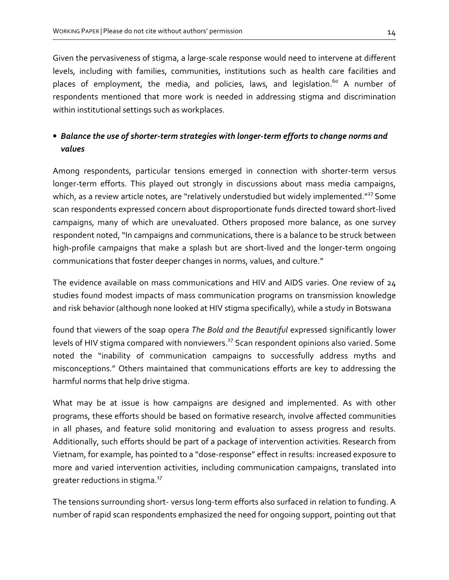Given the pervasiveness of stigma, a large-scale response would need to intervene at different levels, including with families, communities, institutions such as health care facilities and places of employment, the media, and policies, laws, and legislation.<sup>60</sup> A number of respondents mentioned that more work is needed in addressing stigma and discrimination within institutional settings such as workplaces.

# • Balance the use of shorter-term strategies with longer-term efforts to change norms and values

Among respondents, particular tensions emerged in connection with shorter-term versus longer-term efforts. This played out strongly in discussions about mass media campaigns, which, as a review article notes, are "relatively understudied but widely implemented." $^{27}$  Some scan respondents expressed concern about disproportionate funds directed toward short-lived campaigns, many of which are unevaluated. Others proposed more balance, as one survey respondent noted, "In campaigns and communications, there is a balance to be struck between high-profile campaigns that make a splash but are short-lived and the longer-term ongoing communications that foster deeper changes in norms, values, and culture."

The evidence available on mass communications and HIV and AIDS varies. One review of 24 studies found modest impacts of mass communication programs on transmission knowledge and risk behavior (although none looked at HIV stigma specifically), while a study in Botswana

found that viewers of the soap opera The Bold and the Beautiful expressed significantly lower levels of HIV stigma compared with nonviewers.<sup>27</sup> Scan respondent opinions also varied. Some noted the "inability of communication campaigns to successfully address myths and misconceptions." Others maintained that communications efforts are key to addressing the harmful norms that help drive stigma.

What may be at issue is how campaigns are designed and implemented. As with other programs, these efforts should be based on formative research, involve affected communities in all phases, and feature solid monitoring and evaluation to assess progress and results. Additionally, such efforts should be part of a package of intervention activities. Research from Vietnam, for example, has pointed to a "dose-response" effect in results: increased exposure to more and varied intervention activities, including communication campaigns, translated into greater reductions in stigma.<sup>17</sup>

The tensions surrounding short- versus long-term efforts also surfaced in relation to funding. A number of rapid scan respondents emphasized the need for ongoing support, pointing out that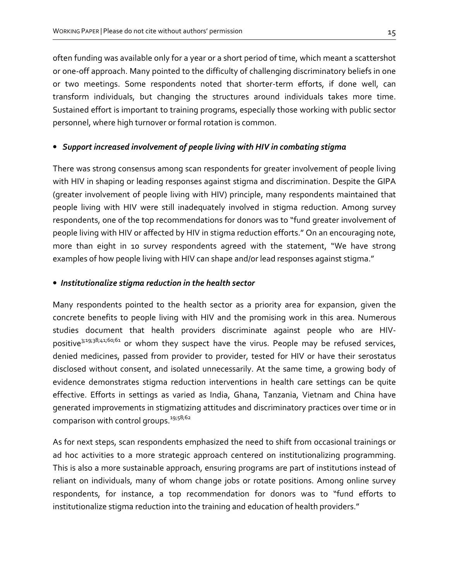often funding was available only for a year or a short period of time, which meant a scattershot or one-off approach. Many pointed to the difficulty of challenging discriminatory beliefs in one or two meetings. Some respondents noted that shorter-term efforts, if done well, can transform individuals, but changing the structures around individuals takes more time. Sustained effort is important to training programs, especially those working with public sector personnel, where high turnover or formal rotation is common.

#### • Support increased involvement of people living with HIV in combating stigma

There was strong consensus among scan respondents for greater involvement of people living with HIV in shaping or leading responses against stigma and discrimination. Despite the GIPA (greater involvement of people living with HIV) principle, many respondents maintained that people living with HIV were still inadequately involved in stigma reduction. Among survey respondents, one of the top recommendations for donors was to "fund greater involvement of people living with HIV or affected by HIV in stigma reduction efforts." On an encouraging note, more than eight in 10 survey respondents agreed with the statement, "We have strong examples of how people living with HIV can shape and/or lead responses against stigma."

#### • Institutionalize stigma reduction in the health sector

Many respondents pointed to the health sector as a priority area for expansion, given the concrete benefits to people living with HIV and the promising work in this area. Numerous studies document that health providers discriminate against people who are HIVpositive<sup>3;19;38;41;60;61</sup> or whom they suspect have the virus. People may be refused services, denied medicines, passed from provider to provider, tested for HIV or have their serostatus disclosed without consent, and isolated unnecessarily. At the same time, a growing body of evidence demonstrates stigma reduction interventions in health care settings can be quite effective. Efforts in settings as varied as India, Ghana, Tanzania, Vietnam and China have generated improvements in stigmatizing attitudes and discriminatory practices over time or in comparison with control groups.<sup>19;58;62</sup>

As for next steps, scan respondents emphasized the need to shift from occasional trainings or ad hoc activities to a more strategic approach centered on institutionalizing programming. This is also a more sustainable approach, ensuring programs are part of institutions instead of reliant on individuals, many of whom change jobs or rotate positions. Among online survey respondents, for instance, a top recommendation for donors was to "fund efforts to institutionalize stigma reduction into the training and education of health providers."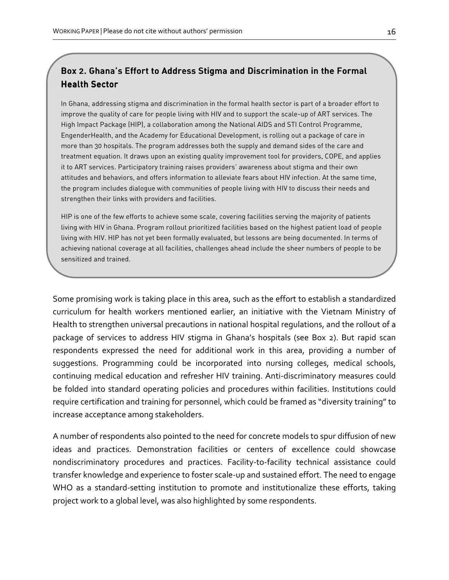# Box 2. Ghana's Effort to Address Stigma and Discrimination in the Formal Health Sector

In Ghana, addressing stigma and discrimination in the formal health sector is part of a broader effort to improve the quality of care for people living with HIV and to support the scale-up of ART services. The High Impact Package (HIP), a collaboration among the National AIDS and STI Control Programme, EngenderHealth, and the Academy for Educational Development, is rolling out a package of care in more than 30 hospitals. The program addresses both the supply and demand sides of the care and treatment equation. It draws upon an existing quality improvement tool for providers, COPE, and applies it to ART services. Participatory training raises providers' awareness about stigma and their own attitudes and behaviors, and offers information to alleviate fears about HIV infection. At the same time, the program includes dialogue with communities of people living with HIV to discuss their needs and strengthen their links with providers and facilities.

HIP is one of the few efforts to achieve some scale, covering facilities serving the majority of patients living with HIV in Ghana. Program rollout prioritized facilities based on the highest patient load of people living with HIV. HIP has not yet been formally evaluated, but lessons are being documented. In terms of achieving national coverage at all facilities, challenges ahead include the sheer numbers of people to be sensitized and trained.

Some promising work is taking place in this area, such as the effort to establish a standardized curriculum for health workers mentioned earlier, an initiative with the Vietnam Ministry of Health to strengthen universal precautions in national hospital regulations, and the rollout of a package of services to address HIV stigma in Ghana's hospitals (see Box 2). But rapid scan respondents expressed the need for additional work in this area, providing a number of suggestions. Programming could be incorporated into nursing colleges, medical schools, continuing medical education and refresher HIV training. Anti-discriminatory measures could be folded into standard operating policies and procedures within facilities. Institutions could require certification and training for personnel, which could be framed as "diversity training" to increase acceptance among stakeholders.

A number of respondents also pointed to the need for concrete models to spur diffusion of new ideas and practices. Demonstration facilities or centers of excellence could showcase nondiscriminatory procedures and practices. Facility-to-facility technical assistance could transfer knowledge and experience to foster scale-up and sustained effort. The need to engage WHO as a standard-setting institution to promote and institutionalize these efforts, taking project work to a global level, was also highlighted by some respondents.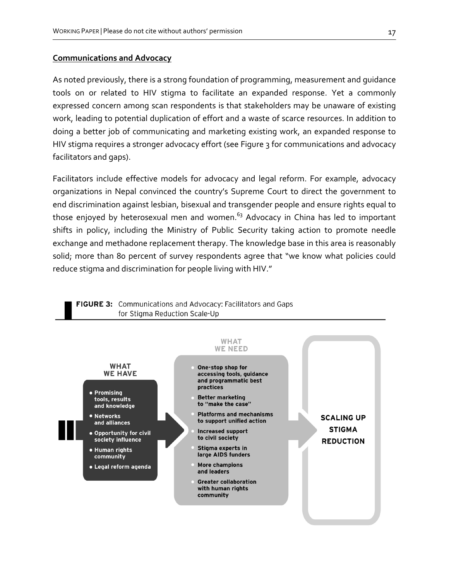#### Communications and Advocacy

As noted previously, there is a strong foundation of programming, measurement and guidance tools on or related to HIV stigma to facilitate an expanded response. Yet a commonly expressed concern among scan respondents is that stakeholders may be unaware of existing work, leading to potential duplication of effort and a waste of scarce resources. In addition to doing a better job of communicating and marketing existing work, an expanded response to HIV stigma requires a stronger advocacy effort (see Figure 3 for communications and advocacy facilitators and gaps).

Facilitators include effective models for advocacy and legal reform. For example, advocacy organizations in Nepal convinced the country's Supreme Court to direct the government to end discrimination against lesbian, bisexual and transgender people and ensure rights equal to those enjoyed by heterosexual men and women.<sup>63</sup> Advocacy in China has led to important shifts in policy, including the Ministry of Public Security taking action to promote needle exchange and methadone replacement therapy. The knowledge base in this area is reasonably solid; more than 80 percent of survey respondents agree that "we know what policies could reduce stigma and discrimination for people living with HIV."



# **FIGURE 3:** Communications and Advocacy: Facilitators and Gaps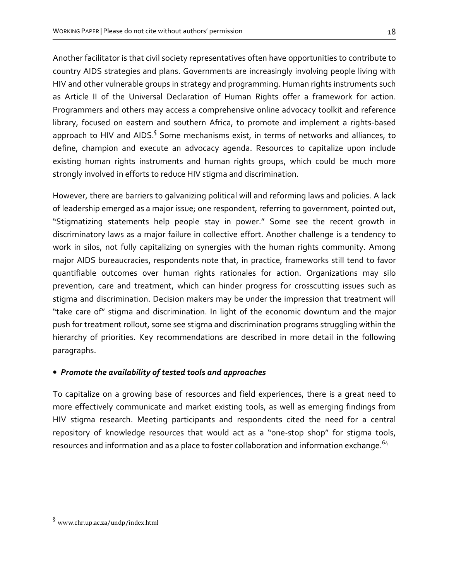Another facilitator is that civil society representatives often have opportunities to contribute to country AIDS strategies and plans. Governments are increasingly involving people living with HIV and other vulnerable groups in strategy and programming. Human rights instruments such as Article II of the Universal Declaration of Human Rights offer a framework for action. Programmers and others may access a comprehensive online advocacy toolkit and reference library, focused on eastern and southern Africa, to promote and implement a rights-based approach to HIV and AIDS.<sup>§</sup> Some mechanisms exist, in terms of networks and alliances, to define, champion and execute an advocacy agenda. Resources to capitalize upon include existing human rights instruments and human rights groups, which could be much more strongly involved in efforts to reduce HIV stigma and discrimination.

However, there are barriers to galvanizing political will and reforming laws and policies. A lack of leadership emerged as a major issue; one respondent, referring to government, pointed out, "Stigmatizing statements help people stay in power." Some see the recent growth in discriminatory laws as a major failure in collective effort. Another challenge is a tendency to work in silos, not fully capitalizing on synergies with the human rights community. Among major AIDS bureaucracies, respondents note that, in practice, frameworks still tend to favor quantifiable outcomes over human rights rationales for action. Organizations may silo prevention, care and treatment, which can hinder progress for crosscutting issues such as stigma and discrimination. Decision makers may be under the impression that treatment will "take care of" stigma and discrimination. In light of the economic downturn and the major push for treatment rollout, some see stigma and discrimination programs struggling within the hierarchy of priorities. Key recommendations are described in more detail in the following paragraphs.

## • Promote the availability of tested tools and approaches

To capitalize on a growing base of resources and field experiences, there is a great need to more effectively communicate and market existing tools, as well as emerging findings from HIV stigma research. Meeting participants and respondents cited the need for a central repository of knowledge resources that would act as a "one-stop shop" for stigma tools, resources and information and as a place to foster collaboration and information exchange.<sup>64</sup>

 $\overline{a}$ 

<sup>§</sup> www.chr.up.ac.za/undp/index.html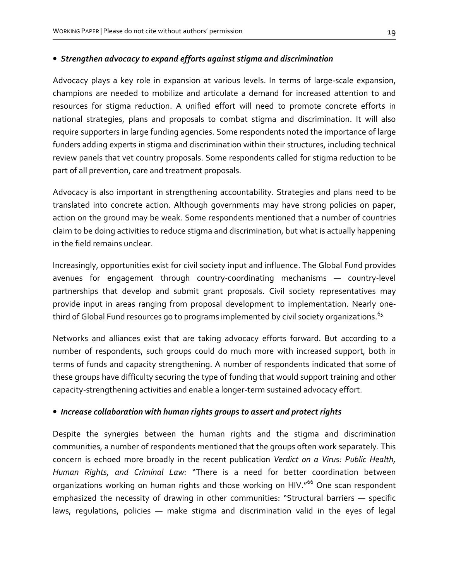#### • Strengthen advocacy to expand efforts against stigma and discrimination

Advocacy plays a key role in expansion at various levels. In terms of large-scale expansion, champions are needed to mobilize and articulate a demand for increased attention to and resources for stigma reduction. A unified effort will need to promote concrete efforts in national strategies, plans and proposals to combat stigma and discrimination. It will also require supporters in large funding agencies. Some respondents noted the importance of large funders adding experts in stigma and discrimination within their structures, including technical review panels that vet country proposals. Some respondents called for stigma reduction to be part of all prevention, care and treatment proposals.

Advocacy is also important in strengthening accountability. Strategies and plans need to be translated into concrete action. Although governments may have strong policies on paper, action on the ground may be weak. Some respondents mentioned that a number of countries claim to be doing activities to reduce stigma and discrimination, but what is actually happening in the field remains unclear.

Increasingly, opportunities exist for civil society input and influence. The Global Fund provides avenues for engagement through country-coordinating mechanisms — country-level partnerships that develop and submit grant proposals. Civil society representatives may provide input in areas ranging from proposal development to implementation. Nearly onethird of Global Fund resources go to programs implemented by civil society organizations. $^{65}\,$ 

Networks and alliances exist that are taking advocacy efforts forward. But according to a number of respondents, such groups could do much more with increased support, both in terms of funds and capacity strengthening. A number of respondents indicated that some of these groups have difficulty securing the type of funding that would support training and other capacity-strengthening activities and enable a longer-term sustained advocacy effort.

#### • Increase collaboration with human rights groups to assert and protect rights

Despite the synergies between the human rights and the stigma and discrimination communities, a number of respondents mentioned that the groups often work separately. This concern is echoed more broadly in the recent publication Verdict on a Virus: Public Health, Human Rights, and Criminal Law: "There is a need for better coordination between organizations working on human rights and those working on HIV."<sup>66</sup> One scan respondent emphasized the necessity of drawing in other communities: "Structural barriers — specific laws, regulations, policies — make stigma and discrimination valid in the eyes of legal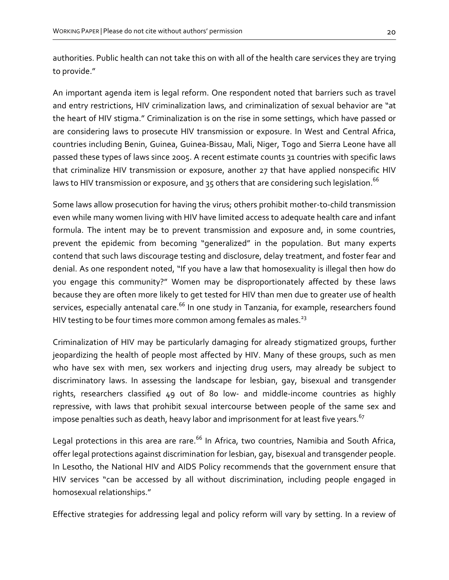authorities. Public health can not take this on with all of the health care services they are trying to provide."

An important agenda item is legal reform. One respondent noted that barriers such as travel and entry restrictions, HIV criminalization laws, and criminalization of sexual behavior are "at the heart of HIV stigma." Criminalization is on the rise in some settings, which have passed or are considering laws to prosecute HIV transmission or exposure. In West and Central Africa, countries including Benin, Guinea, Guinea-Bissau, Mali, Niger, Togo and Sierra Leone have all passed these types of laws since 2005. A recent estimate counts 31 countries with specific laws that criminalize HIV transmission or exposure, another 27 that have applied nonspecific HIV laws to HIV transmission or exposure, and 35 others that are considering such legislation. $^{66}\,$ 

Some laws allow prosecution for having the virus; others prohibit mother-to-child transmission even while many women living with HIV have limited access to adequate health care and infant formula. The intent may be to prevent transmission and exposure and, in some countries, prevent the epidemic from becoming "generalized" in the population. But many experts contend that such laws discourage testing and disclosure, delay treatment, and foster fear and denial. As one respondent noted, "If you have a law that homosexuality is illegal then how do you engage this community?" Women may be disproportionately affected by these laws because they are often more likely to get tested for HIV than men due to greater use of health services, especially antenatal care.<sup>66</sup> In one study in Tanzania, for example, researchers found HIV testing to be four times more common among females as males. $^{23}$ 

Criminalization of HIV may be particularly damaging for already stigmatized groups, further jeopardizing the health of people most affected by HIV. Many of these groups, such as men who have sex with men, sex workers and injecting drug users, may already be subject to discriminatory laws. In assessing the landscape for lesbian, gay, bisexual and transgender rights, researchers classified 49 out of 80 low- and middle-income countries as highly repressive, with laws that prohibit sexual intercourse between people of the same sex and impose penalties such as death, heavy labor and imprisonment for at least five years. $^{67}$ 

Legal protections in this area are rare.<sup>66</sup> In Africa, two countries, Namibia and South Africa, offer legal protections against discrimination for lesbian, gay, bisexual and transgender people. In Lesotho, the National HIV and AIDS Policy recommends that the government ensure that HIV services "can be accessed by all without discrimination, including people engaged in homosexual relationships."

Effective strategies for addressing legal and policy reform will vary by setting. In a review of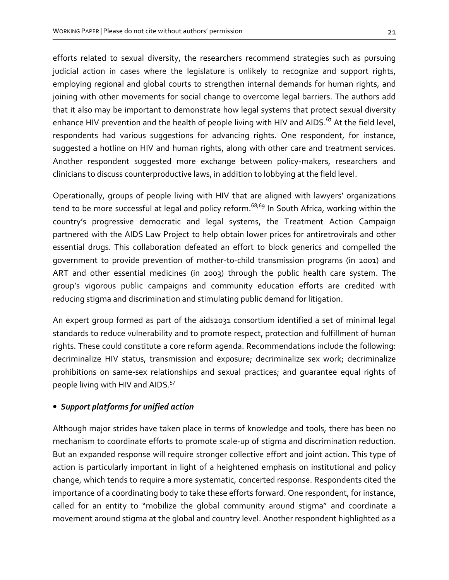efforts related to sexual diversity, the researchers recommend strategies such as pursuing judicial action in cases where the legislature is unlikely to recognize and support rights, employing regional and global courts to strengthen internal demands for human rights, and joining with other movements for social change to overcome legal barriers. The authors add that it also may be important to demonstrate how legal systems that protect sexual diversity enhance HIV prevention and the health of people living with HIV and AIDS.<sup>67</sup> At the field level, respondents had various suggestions for advancing rights. One respondent, for instance, suggested a hotline on HIV and human rights, along with other care and treatment services. Another respondent suggested more exchange between policy-makers, researchers and clinicians to discuss counterproductive laws, in addition to lobbying at the field level.

Operationally, groups of people living with HIV that are aligned with lawyers' organizations tend to be more successful at legal and policy reform.<sup>68;69</sup> In South Africa, working within the country's progressive democratic and legal systems, the Treatment Action Campaign partnered with the AIDS Law Project to help obtain lower prices for antiretrovirals and other essential drugs. This collaboration defeated an effort to block generics and compelled the government to provide prevention of mother-to-child transmission programs (in 2001) and ART and other essential medicines (in 2003) through the public health care system. The group's vigorous public campaigns and community education efforts are credited with reducing stigma and discrimination and stimulating public demand for litigation.

An expert group formed as part of the aids2031 consortium identified a set of minimal legal standards to reduce vulnerability and to promote respect, protection and fulfillment of human rights. These could constitute a core reform agenda. Recommendations include the following: decriminalize HIV status, transmission and exposure; decriminalize sex work; decriminalize prohibitions on same-sex relationships and sexual practices; and guarantee equal rights of people living with HIV and AIDS.<sup>57</sup>

#### • Support platforms for unified action

Although major strides have taken place in terms of knowledge and tools, there has been no mechanism to coordinate efforts to promote scale-up of stigma and discrimination reduction. But an expanded response will require stronger collective effort and joint action. This type of action is particularly important in light of a heightened emphasis on institutional and policy change, which tends to require a more systematic, concerted response. Respondents cited the importance of a coordinating body to take these efforts forward. One respondent, for instance, called for an entity to "mobilize the global community around stigma" and coordinate a movement around stigma at the global and country level. Another respondent highlighted as a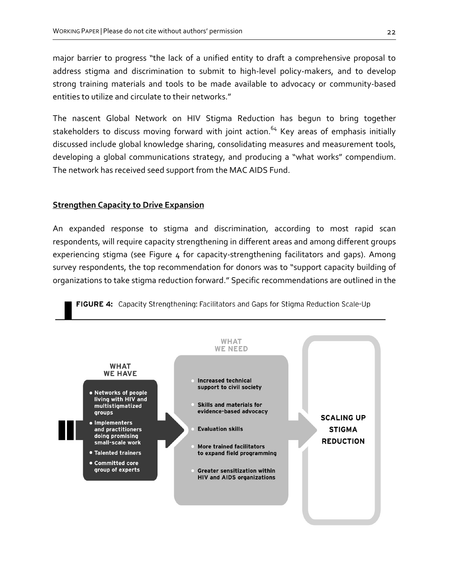major barrier to progress "the lack of a unified entity to draft a comprehensive proposal to address stigma and discrimination to submit to high-level policy-makers, and to develop strong training materials and tools to be made available to advocacy or community-based entities to utilize and circulate to their networks."

The nascent Global Network on HIV Stigma Reduction has begun to bring together stakeholders to discuss moving forward with joint action.<sup>64</sup> Key areas of emphasis initially discussed include global knowledge sharing, consolidating measures and measurement tools, developing a global communications strategy, and producing a "what works" compendium. The network has received seed support from the MAC AIDS Fund.

#### **Strengthen Capacity to Drive Expansion**

An expanded response to stigma and discrimination, according to most rapid scan respondents, will require capacity strengthening in different areas and among different groups experiencing stigma (see Figure 4 for capacity-strengthening facilitators and gaps). Among survey respondents, the top recommendation for donors was to "support capacity building of organizations to take stigma reduction forward." Specific recommendations are outlined in the

FIGURE 4: Capacity Strengthening: Facilitators and Gaps for Stigma Reduction Scale-Up

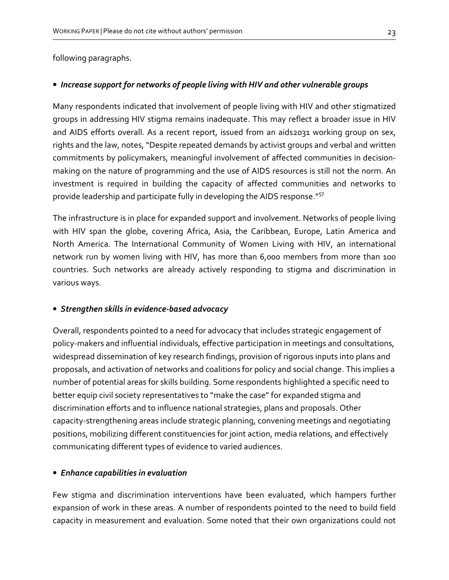following paragraphs.

#### • Increase support for networks of people living with HIV and other vulnerable groups

Many respondents indicated that involvement of people living with HIV and other stigmatized groups in addressing HIV stigma remains inadequate. This may reflect a broader issue in HIV and AIDS efforts overall. As a recent report, issued from an aids2031 working group on sex, rights and the law, notes, "Despite repeated demands by activist groups and verbal and written commitments by policymakers, meaningful involvement of affected communities in decisionmaking on the nature of programming and the use of AIDS resources is still not the norm. An investment is required in building the capacity of affected communities and networks to provide leadership and participate fully in developing the AIDS response."<sup>57</sup>

The infrastructure is in place for expanded support and involvement. Networks of people living with HIV span the globe, covering Africa, Asia, the Caribbean, Europe, Latin America and North America. The International Community of Women Living with HIV, an international network run by women living with HIV, has more than 6,000 members from more than 100 countries. Such networks are already actively responding to stigma and discrimination in various ways.

#### • Strengthen skills in evidence-based advocacy

Overall, respondents pointed to a need for advocacy that includes strategic engagement of policy-makers and influential individuals, effective participation in meetings and consultations, widespread dissemination of key research findings, provision of rigorous inputs into plans and proposals, and activation of networks and coalitions for policy and social change. This implies a number of potential areas for skills building. Some respondents highlighted a specific need to better equip civil society representatives to "make the case" for expanded stigma and discrimination efforts and to influence national strategies, plans and proposals. Other capacity-strengthening areas include strategic planning, convening meetings and negotiating positions, mobilizing different constituencies for joint action, media relations, and effectively communicating different types of evidence to varied audiences.

#### • Enhance capabilities in evaluation

Few stigma and discrimination interventions have been evaluated, which hampers further expansion of work in these areas. A number of respondents pointed to the need to build field capacity in measurement and evaluation. Some noted that their own organizations could not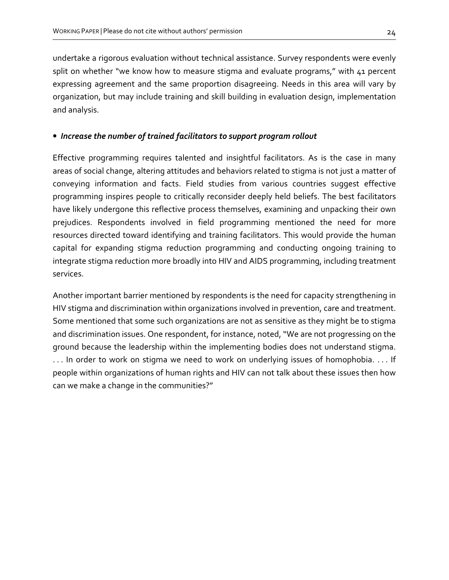undertake a rigorous evaluation without technical assistance. Survey respondents were evenly split on whether "we know how to measure stigma and evaluate programs," with 41 percent expressing agreement and the same proportion disagreeing. Needs in this area will vary by organization, but may include training and skill building in evaluation design, implementation and analysis.

#### • Increase the number of trained facilitators to support program rollout

Effective programming requires talented and insightful facilitators. As is the case in many areas of social change, altering attitudes and behaviors related to stigma is not just a matter of conveying information and facts. Field studies from various countries suggest effective programming inspires people to critically reconsider deeply held beliefs. The best facilitators have likely undergone this reflective process themselves, examining and unpacking their own prejudices. Respondents involved in field programming mentioned the need for more resources directed toward identifying and training facilitators. This would provide the human capital for expanding stigma reduction programming and conducting ongoing training to integrate stigma reduction more broadly into HIV and AIDS programming, including treatment services.

Another important barrier mentioned by respondents is the need for capacity strengthening in HIV stigma and discrimination within organizations involved in prevention, care and treatment. Some mentioned that some such organizations are not as sensitive as they might be to stigma and discrimination issues. One respondent, for instance, noted, "We are not progressing on the ground because the leadership within the implementing bodies does not understand stigma. . . . In order to work on stigma we need to work on underlying issues of homophobia. . . . If people within organizations of human rights and HIV can not talk about these issues then how can we make a change in the communities?"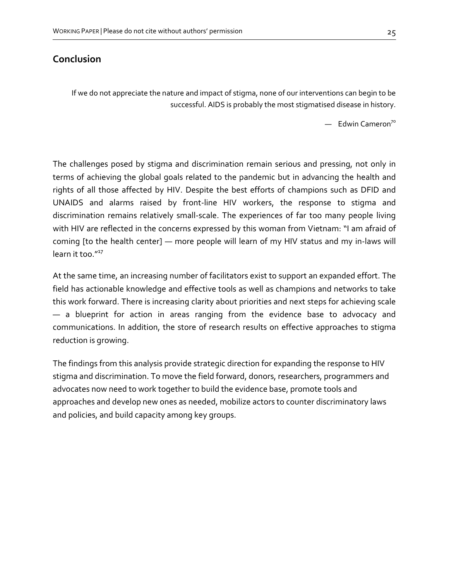# Conclusion

If we do not appreciate the nature and impact of stigma, none of our interventions can begin to be successful. AIDS is probably the most stigmatised disease in history.

 $-$  Edwin Cameron<sup>70</sup>

The challenges posed by stigma and discrimination remain serious and pressing, not only in terms of achieving the global goals related to the pandemic but in advancing the health and rights of all those affected by HIV. Despite the best efforts of champions such as DFID and UNAIDS and alarms raised by front-line HIV workers, the response to stigma and discrimination remains relatively small-scale. The experiences of far too many people living with HIV are reflected in the concerns expressed by this woman from Vietnam: "I am afraid of coming [to the health center] — more people will learn of my HIV status and my in-laws will learn it too. $117$ 

At the same time, an increasing number of facilitators exist to support an expanded effort. The field has actionable knowledge and effective tools as well as champions and networks to take this work forward. There is increasing clarity about priorities and next steps for achieving scale — a blueprint for action in areas ranging from the evidence base to advocacy and communications. In addition, the store of research results on effective approaches to stigma reduction is growing.

The findings from this analysis provide strategic direction for expanding the response to HIV stigma and discrimination. To move the field forward, donors, researchers, programmers and advocates now need to work together to build the evidence base, promote tools and approaches and develop new ones as needed, mobilize actors to counter discriminatory laws and policies, and build capacity among key groups.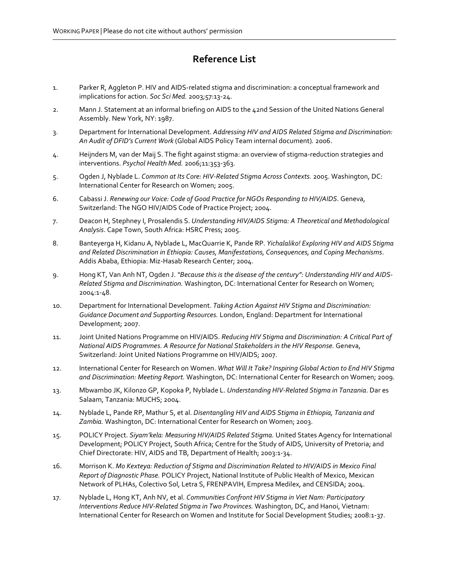# Reference List

- 1. Parker R, Aggleton P. HIV and AIDS-related stigma and discrimination: a conceptual framework and implications for action. Soc Sci Med. 2003;57:13-24.
- 2. Mann J. Statement at an informal briefing on AIDS to the 42nd Session of the United Nations General Assembly. New York, NY: 1987.
- 3. Department for International Development. Addressing HIV and AIDS Related Stigma and Discrimination: An Audit of DFID's Current Work (Global AIDS Policy Team internal document). 2006.
- 4. Heijnders M, van der Maij S. The fight against stigma: an overview of stigma-reduction strategies and interventions. Psychol Health Med. 2006;11:353-363.
- 5. Ogden J, Nyblade L. Common at Its Core: HIV-Related Stigma Across Contexts. 2005. Washington, DC: International Center for Research on Women; 2005.
- 6. Cabassi J. Renewing our Voice: Code of Good Practice for NGOs Responding to HIV/AIDS. Geneva, Switzerland: The NGO HIV/AIDS Code of Practice Project; 2004.
- 7. Deacon H, Stephney I, Prosalendis S. Understanding HIV/AIDS Stigma: A Theoretical and Methodological Analysis. Cape Town, South Africa: HSRC Press; 2005.
- 8. Banteyerga H, Kidanu A, Nyblade L, MacQuarrie K, Pande RP. Yichalaliko! Exploring HIV and AIDS Stigma and Related Discrimination in Ethiopia: Causes, Manifestations, Consequences, and Coping Mechanisms. Addis Ababa, Ethiopia: Miz-Hasab Research Center; 2004.
- 9. Hong KT, Van Anh NT, Ogden J. "Because this is the disease of the century": Understanding HIV and AIDS-Related Stigma and Discrimination. Washington, DC: International Center for Research on Women; 2004:1-48.
- 10. Department for International Development. Taking Action Against HIV Stigma and Discrimination: Guidance Document and Supporting Resources. London, England: Department for International Development; 2007.
- 11. Joint United Nations Programme on HIV/AIDS. Reducing HIV Stigma and Discrimination: A Critical Part of National AIDS Programmes. A Resource for National Stakeholders in the HIV Response. Geneva, Switzerland: Joint United Nations Programme on HIV/AIDS; 2007.
- 12. International Center for Research on Women. What Will It Take? Inspiring Global Action to End HIV Stigma and Discrimination: Meeting Report. Washington, DC: International Center for Research on Women; 2009.
- 13. Mbwambo JK, Kilonzo GP, Kopoka P, Nyblade L. Understanding HIV-Related Stigma in Tanzania. Dar es Salaam, Tanzania: MUCHS; 2004.
- 14. Nyblade L, Pande RP, Mathur S, et al. Disentangling HIV and AIDS Stigma in Ethiopia, Tanzania and Zambia. Washington, DC: International Center for Research on Women; 2003.
- 15. POLICY Project. Siyam'kela: Measuring HIV/AIDS Related Stigma. United States Agency for International Development; POLICY Project, South Africa; Centre for the Study of AIDS, University of Pretoria; and Chief Directorate: HIV, AIDS and TB, Department of Health; 2003:1-34.
- 16. Morrison K. Mo Kexteya: Reduction of Stigma and Discrimination Related to HIV/AIDS in Mexico Final Report of Diagnostic Phase. POLICY Project, National Institute of Public Health of Mexico, Mexican Network of PLHAs, Colectivo Sol, Letra S, FRENPAVIH, Empresa Medilex, and CENSIDA; 2004.
- 17. Nyblade L, Hong KT, Anh NV, et al. Communities Confront HIV Stigma in Viet Nam: Participatory Interventions Reduce HIV-Related Stigma in Two Provinces. Washington, DC, and Hanoi, Vietnam: International Center for Research on Women and Institute for Social Development Studies; 2008:1-37.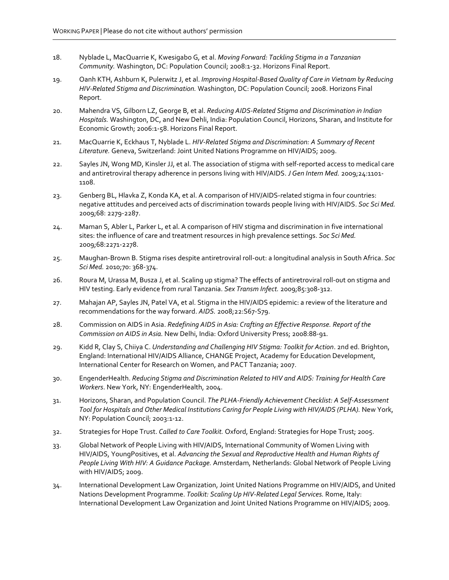- 18. Nyblade L, MacQuarrie K, Kwesigabo G, et al. Moving Forward: Tackling Stigma in a Tanzanian Community. Washington, DC: Population Council; 2008:1-32. Horizons Final Report.
- 19. Oanh KTH, Ashburn K, Pulerwitz J, et al. Improving Hospital-Based Quality of Care in Vietnam by Reducing HIV-Related Stigma and Discrimination. Washington, DC: Population Council; 2008. Horizons Final Report.
- 20. Mahendra VS, Gilborn LZ, George B, et al. Reducing AIDS-Related Stigma and Discrimination in Indian Hospitals. Washington, DC, and New Dehli, India: Population Council, Horizons, Sharan, and Institute for Economic Growth; 2006:1-58. Horizons Final Report.
- 21. MacQuarrie K, Eckhaus T, Nyblade L. HIV-Related Stigma and Discrimination: A Summary of Recent Literature. Geneva, Switzerland: Joint United Nations Programme on HIV/AIDS; 2009.
- 22. Sayles JN, Wong MD, Kinsler JJ, et al. The association of stigma with self-reported access to medical care and antiretroviral therapy adherence in persons living with HIV/AIDS. J Gen Intern Med. 2009;24:1101-1108.
- 23. Genberg BL, Hlavka Z, Konda KA, et al. A comparison of HIV/AIDS-related stigma in four countries: negative attitudes and perceived acts of discrimination towards people living with HIV/AIDS. Soc Sci Med. 2009;68: 2279-2287.
- 24. Maman S, Abler L, Parker L, et al. A comparison of HIV stigma and discrimination in five international sites: the influence of care and treatment resources in high prevalence settings. Soc Sci Med. 2009;68:2271-2278.
- 25. Maughan-Brown B. Stigma rises despite antiretroviral roll-out: a longitudinal analysis in South Africa. Soc Sci Med. 2010;70: 368-374.
- 26. Roura M, Urassa M, Busza J, et al. Scaling up stigma? The effects of antiretroviral roll-out on stigma and HIV testing. Early evidence from rural Tanzania. Sex Transm Infect. 2009;85:308-312.
- 27. Mahajan AP, Sayles JN, Patel VA, et al. Stigma in the HIV/AIDS epidemic: a review of the literature and recommendations for the way forward. AIDS. 2008;22:S67-S79.
- 28. Commission on AIDS in Asia. Redefining AIDS in Asia: Crafting an Effective Response. Report of the Commission on AIDS in Asia. New Delhi, India: Oxford University Press; 2008:88-91.
- 29. Kidd R, Clay S, Chiiya C. Understanding and Challenging HIV Stigma: Toolkit for Action. 2nd ed. Brighton, England: International HIV/AIDS Alliance, CHANGE Project, Academy for Education Development, International Center for Research on Women, and PACT Tanzania; 2007.
- 30. EngenderHealth. Reducing Stigma and Discrimination Related to HIV and AIDS: Training for Health Care Workers. New York, NY: EngenderHealth, 2004.
- 31. Horizons, Sharan, and Population Council. The PLHA-Friendly Achievement Checklist: A Self-Assessment Tool for Hospitals and Other Medical Institutions Caring for People Living with HIV/AIDS (PLHA). New York, NY: Population Council; 2003:1-12.
- 32. Strategies for Hope Trust. Called to Care Toolkit. Oxford, England: Strategies for Hope Trust; 2005.
- 33. Global Network of People Living with HIV/AIDS, International Community of Women Living with HIV/AIDS, YoungPositives, et al. Advancing the Sexual and Reproductive Health and Human Rights of People Living With HIV: A Guidance Package. Amsterdam, Netherlands: Global Network of People Living with HIV/AIDS; 2009.
- 34. International Development Law Organization, Joint United Nations Programme on HIV/AIDS, and United Nations Development Programme. Toolkit: Scaling Up HIV-Related Legal Services. Rome, Italy: International Development Law Organization and Joint United Nations Programme on HIV/AIDS; 2009.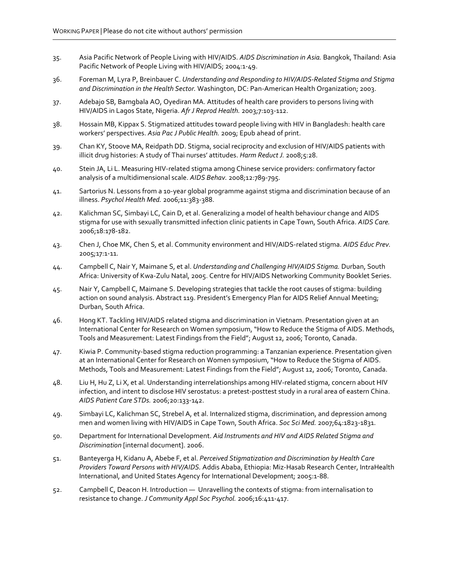- 35. Asia Pacific Network of People Living with HIV/AIDS. AIDS Discrimination in Asia. Bangkok, Thailand: Asia Pacific Network of People Living with HIV/AIDS; 2004:1-49.
- 36. Foreman M, Lyra P, Breinbauer C. Understanding and Responding to HIV/AIDS-Related Stigma and Stigma and Discrimination in the Health Sector. Washington, DC: Pan-American Health Organization; 2003.
- 37. Adebajo SB, Bamgbala AO, Oyediran MA. Attitudes of health care providers to persons living with HIV/AIDS in Lagos State, Nigeria. Afr J Reprod Health. 2003;7:103-112.
- 38. Hossain MB, Kippax S. Stigmatized attitudes toward people living with HIV in Bangladesh: health care workers' perspectives. Asia Pac J Public Health. 2009; Epub ahead of print.
- 39. Chan KY, Stoove MA, Reidpath DD. Stigma, social reciprocity and exclusion of HIV/AIDS patients with illicit drug histories: A study of Thai nurses' attitudes. Harm Reduct J. 2008;5:28.
- 40. Stein JA, Li L. Measuring HIV-related stigma among Chinese service providers: confirmatory factor analysis of a multidimensional scale. AIDS Behav. 2008;12:789-795.
- 41. Sartorius N. Lessons from a 10-year global programme against stigma and discrimination because of an illness. Psychol Health Med. 2006;11:383-388.
- 42. Kalichman SC, Simbayi LC, Cain D, et al. Generalizing a model of health behaviour change and AIDS stigma for use with sexually transmitted infection clinic patients in Cape Town, South Africa. AIDS Care. 2006;18:178-182.
- 43. Chen J, Choe MK, Chen S, et al. Community environment and HIV/AIDS-related stigma. AIDS Educ Prev. 2005;17:1-11.
- 44. Campbell C, Nair Y, Maimane S, et al. Understanding and Challenging HIV/AIDS Stigma. Durban, South Africa: University of Kwa-Zulu Natal, 2005. Centre for HIV/AIDS Networking Community Booklet Series.
- 45. Nair Y, Campbell C, Maimane S. Developing strategies that tackle the root causes of stigma: building action on sound analysis. Abstract 119. President's Emergency Plan for AIDS Relief Annual Meeting; Durban, South Africa.
- 46. Hong KT. Tackling HIV/AIDS related stigma and discrimination in Vietnam. Presentation given at an International Center for Research on Women symposium, "How to Reduce the Stigma of AIDS. Methods, Tools and Measurement: Latest Findings from the Field"; August 12, 2006; Toronto, Canada.
- 47. Kiwia P. Community-based stigma reduction programming: a Tanzanian experience. Presentation given at an International Center for Research on Women symposium, "How to Reduce the Stigma of AIDS. Methods, Tools and Measurement: Latest Findings from the Field"; August 12, 2006; Toronto, Canada.
- 48. Liu H, Hu Z, Li X, et al. Understanding interrelationships among HIV-related stigma, concern about HIV infection, and intent to disclose HIV serostatus: a pretest-posttest study in a rural area of eastern China. AIDS Patient Care STDs. 2006;20:133-142.
- 49. Simbayi LC, Kalichman SC, Strebel A, et al. Internalized stigma, discrimination, and depression among men and women living with HIV/AIDS in Cape Town, South Africa. Soc Sci Med. 2007;64:1823-1831.
- 50. Department for International Development. Aid Instruments and HIV and AIDS Related Stigma and Discrimination [internal document]. 2006.
- 51. Banteyerga H, Kidanu A, Abebe F, et al. Perceived Stigmatization and Discrimination by Health Care Providers Toward Persons with HIV/AIDS. Addis Ababa, Ethiopia: Miz-Hasab Research Center, IntraHealth International, and United States Agency for International Development; 2005:1-88.
- 52. Campbell C, Deacon H. Introduction Unravelling the contexts of stigma: from internalisation to resistance to change. J Community Appl Soc Psychol. 2006;16:411-417.